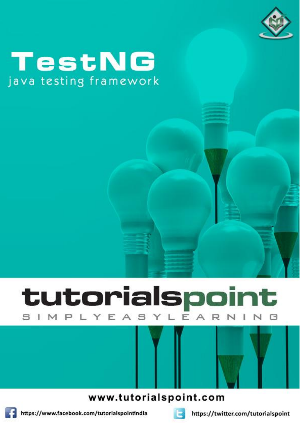

# TestNG java testing framework

# tutorialspoint YEASYLEA R N

www.tutorialspoint.com



https://www.facebook.com/tutorialspointindia



https://twitter.com/tutorialspoint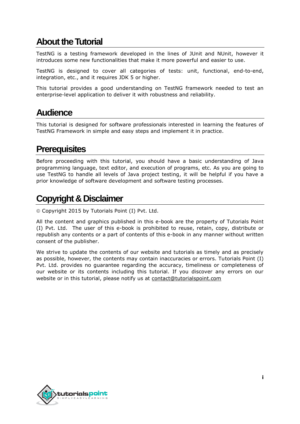### **About theTutorial**

TestNG is a testing framework developed in the lines of JUnit and NUnit, however it introduces some new functionalities that make it more powerful and easier to use.

TestNG is designed to cover all categories of tests: unit, functional, end-to-end, integration, etc., and it requires JDK 5 or higher.

This tutorial provides a good understanding on TestNG framework needed to test an enterprise-level application to deliver it with robustness and reliability.

#### **Audience**

This tutorial is designed for software professionals interested in learning the features of TestNG Framework in simple and easy steps and implement it in practice.

#### **Prerequisites**

Before proceeding with this tutorial, you should have a basic understanding of Java programming language, text editor, and execution of programs, etc. As you are going to use TestNG to handle all levels of Java project testing, it will be helpful if you have a prior knowledge of software development and software testing processes.

### **Copyright & Disclaimer**

Copyright 2015 by Tutorials Point (I) Pvt. Ltd.

All the content and graphics published in this e-book are the property of Tutorials Point (I) Pvt. Ltd. The user of this e-book is prohibited to reuse, retain, copy, distribute or republish any contents or a part of contents of this e-book in any manner without written consent of the publisher.

We strive to update the contents of our website and tutorials as timely and as precisely as possible, however, the contents may contain inaccuracies or errors. Tutorials Point (I) Pvt. Ltd. provides no guarantee regarding the accuracy, timeliness or completeness of our website or its contents including this tutorial. If you discover any errors on our website or in this tutorial, please notify us at [contact@tutorialspoint.com](mailto:contact@tutorialspoint.com)

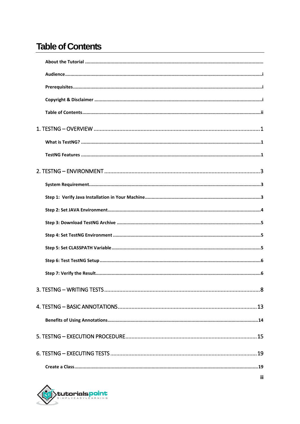## **Table of Contents**

| ij |
|----|

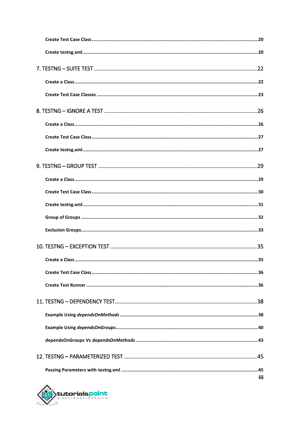| Create a Class | 35  |
|----------------|-----|
|                |     |
|                |     |
|                |     |
|                |     |
|                |     |
|                |     |
|                |     |
|                | iii |

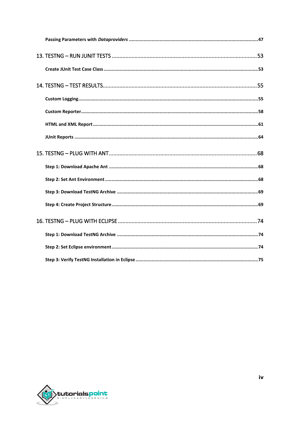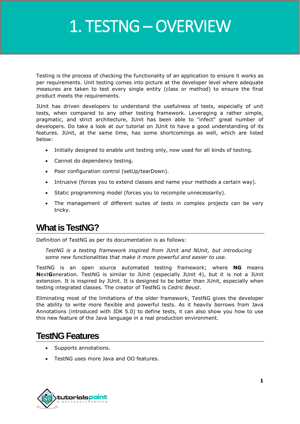# 1. TESTNG – OVERVIEW

Testing is the process of checking the functionality of an application to ensure it works as per requirements. Unit testing comes into picture at the developer level where adequate measures are taken to test every single entity (class or method) to ensure the final product meets the requirements.

JUnit has driven developers to understand the usefulness of tests, especially of unit tests, when compared to any other testing framework. Leveraging a rather simple, pragmatic, and strict architecture, JUnit has been able to "infect" great number of developers. Do take a look at our tutorial on JUnit to have a good understanding of its features. JUnit, at the same time, has some shortcomings as well, which are listed below:

- Initially designed to enable unit testing only, now used for all kinds of testing.
- Cannot do dependency testing.
- Poor configuration control (setUp/tearDown).
- Intrusive (forces you to extend classes and name your methods a certain way).
- Static programming model (forces you to recompile unnecessarily).
- The management of different suites of tests in complex projects can be very tricky.

## **What is TestNG?**

Definition of TestNG as per its documentation is as follows:

*TestNG is a testing framework inspired from JUnit and NUnit, but introducing some new functionalities that make it more powerful and easier to use.*

TestNG is an open source automated testing framework; where **NG** means **N**ext**G**eneration. TestNG is similar to JUnit (especially JUnit 4), but it is not a JUnit extension. It is inspired by JUnit. It is designed to be better than JUnit, especially when testing integrated classes. The creator of TestNG is *Cedric Beust*.

Eliminating most of the limitations of the older framework, TestNG gives the developer the ability to write more flexible and powerful tests. As it heavily borrows from Java Annotations (introduced with JDK 5.0) to define tests, it can also show you how to use this new feature of the Java language in a real production environment.

### **TestNG Features**

- Supports annotations.
- TestNG uses more Java and OO features.

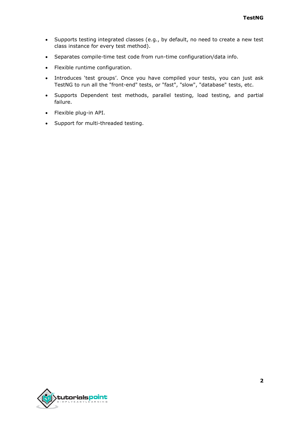- Supports testing integrated classes (e.g., by default, no need to create a new test class instance for every test method).
- Separates compile-time test code from run-time configuration/data info.
- Flexible runtime configuration.
- Introduces 'test groups'. Once you have compiled your tests, you can just ask TestNG to run all the "front-end" tests, or "fast", "slow", "database" tests, etc.
- Supports Dependent test methods, parallel testing, load testing, and partial failure.
- Flexible plug-in API.
- Support for multi-threaded testing.

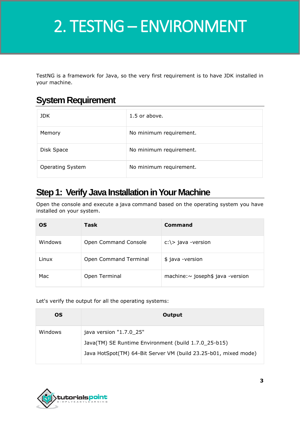# **TestNG** 2. TESTNG – ENVIRONMENT

TestNG is a framework for Java, so the very first requirement is to have JDK installed in your machine.

### **System Requirement**

| JDK.                    | 1.5 or above.           |
|-------------------------|-------------------------|
| Memory                  | No minimum requirement. |
| Disk Space              | No minimum requirement. |
| <b>Operating System</b> | No minimum requirement. |

## **Step 1: Verify Java Installation in Your Machine**

Open the console and execute a java command based on the operating system you have installed on your system.

| <b>OS</b> | Task                  | Command                            |
|-----------|-----------------------|------------------------------------|
| Windows   | Open Command Console  | $c:\rangle$ java -version          |
| Linux     | Open Command Terminal | \$ java -version                   |
| Mac       | Open Terminal         | machine: ~ joseph\$ java - version |

Let's verify the output for all the operating systems:

| <b>OS</b> | Output                                                          |
|-----------|-----------------------------------------------------------------|
| Windows   | java version "1.7.0_25"                                         |
|           | Java(TM) SE Runtime Environment (build 1.7.0_25-b15)            |
|           | Java HotSpot(TM) 64-Bit Server VM (build 23.25-b01, mixed mode) |

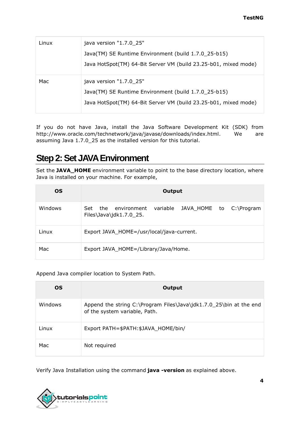| Linux | java version "1.7.0_25"                                                                                                                            |
|-------|----------------------------------------------------------------------------------------------------------------------------------------------------|
|       | Java(TM) SE Runtime Environment (build 1.7.0_25-b15)                                                                                               |
|       | Java HotSpot(TM) 64-Bit Server VM (build 23.25-b01, mixed mode)                                                                                    |
| Mac   | java version "1.7.0_25"<br>Java(TM) SE Runtime Environment (build 1.7.0_25-b15)<br>Java HotSpot(TM) 64-Bit Server VM (build 23.25-b01, mixed mode) |

If you do not have Java, install the Java Software Development Kit (SDK) from http://www.oracle.com/technetwork/java/javase/downloads/index.html. We are assuming Java 1.7.0\_25 as the installed version for this tutorial.

### **Step 2: Set JAVA Environment**

Set the **JAVA\_HOME** environment variable to point to the base directory location, where Java is installed on your machine. For example,

| <b>OS</b> | Output                                                                                      |
|-----------|---------------------------------------------------------------------------------------------|
| Windows   | JAVA HOME to C:\Program<br>variable<br>Set<br>the<br>environment<br>Files\Java\jdk1.7.0 25. |
| Linux     | Export JAVA_HOME=/usr/local/java-current.                                                   |
| Mac       | Export JAVA_HOME=/Library/Java/Home.                                                        |

Append Java compiler location to System Path.

| OS.     | Output                                                                                              |
|---------|-----------------------------------------------------------------------------------------------------|
| Windows | Append the string C:\Program Files\Java\jdk1.7.0_25\bin at the end<br>of the system variable, Path. |
| Linux   | Export PATH=\$PATH:\$JAVA_HOME/bin/                                                                 |
| Mac     | Not required                                                                                        |

Verify Java Installation using the command **java -version** as explained above.

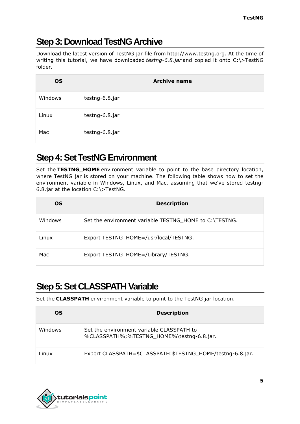## **Step 3: Download TestNG Archive**

Download the latest version of TestNG jar file from http://www.testng.org. At the time of writing this tutorial, we have downloaded *testng-6.8.jar* and copied it onto C:\>TestNG folder.

| <b>OS</b> | <b>Archive name</b> |
|-----------|---------------------|
| Windows   | testng-6.8.jar      |
| Linux     | testng-6.8.jar      |
| Mac       | testng-6.8.jar      |

# **Step 4: Set TestNG Environment**

Set the **TESTNG\_HOME** environment variable to point to the base directory location, where TestNG jar is stored on your machine. The following table shows how to set the environment variable in Windows, Linux, and Mac, assuming that we've stored testng-6.8.jar at the location C:\>TestNG.

| OS.     | <b>Description</b>                                     |
|---------|--------------------------------------------------------|
| Windows | Set the environment variable TESTNG_HOME to C:\TESTNG. |
| Linux   | Export TESTNG_HOME=/usr/local/TESTNG.                  |
| Mac     | Export TESTNG_HOME=/Library/TESTNG.                    |

## **Step 5: Set CLASSPATH Variable**

Set the **CLASSPATH** environment variable to point to the TestNG jar location.

| OS.     | <b>Description</b>                                                                     |
|---------|----------------------------------------------------------------------------------------|
| Windows | Set the environment variable CLASSPATH to<br>%CLASSPATH%;%TESTNG HOME%\testng-6.8.jar. |
| Linux   | Export CLASSPATH=\$CLASSPATH:\$TESTNG HOME/testng-6.8.jar.                             |

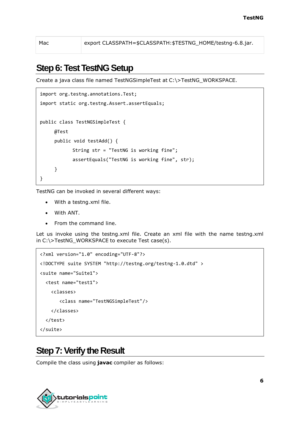Mac export CLASSPATH=\$CLASSPATH: \$TESTNG\_HOME/testng-6.8.jar.

### **Step 6: Test TestNG Setup**

Create a java class file named TestNGSimpleTest at C:\>TestNG\_WORKSPACE.

```
import org.testng.annotations.Test;
import static org.testng.Assert.assertEquals;
public class TestNGSimpleTest {
     @Test
     public void testAdd() {
           String str = "TestNG is working fine";
            assertEquals("TestNG is working fine", str);
     }
}
```
TestNG can be invoked in several different ways:

- With a testng.xml file.
- With ANT.
- From the command line.

Let us invoke using the testng.xml file. Create an xml file with the name testng.xml in C:\>TestNG\_WORKSPACE to execute Test case(s).

```
<?xml version="1.0" encoding="UTF-8"?>
<!DOCTYPE suite SYSTEM "http://testng.org/testng-1.0.dtd" >
<suite name="Suite1">
   <test name="test1">
     <classes>
        <class name="TestNGSimpleTest"/>
     </classes>
   </test>
</suite>
```
#### **Step 7: Verify the Result**

Compile the class using **javac** compiler as follows:

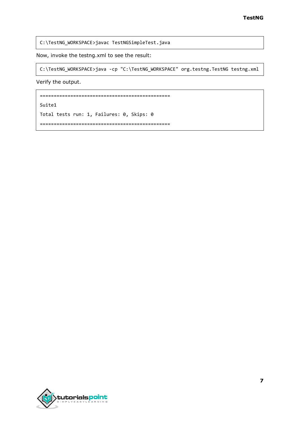C:\TestNG\_WORKSPACE>javac TestNGSimpleTest.java

Now, invoke the testng.xml to see the result:

C:\TestNG\_WORKSPACE>java -cp "C:\TestNG\_WORKSPACE" org.testng.TestNG testng.xml

Verify the output.

===============================================

Suite1

Total tests run: 1, Failures: 0, Skips: 0

===============================================